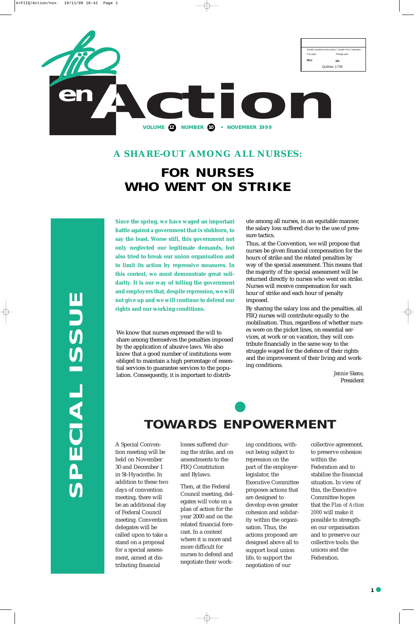

**SPECIAL ISSUE**  KL



# **TOWARDS ENPOWERMENT**

A Special Convention meeting will be held on November 30 and December 1 in St-Hyacinthe. In addition to these two days of convention meeting, there will be an additional day of Federal Council meeting. Convention delegates will be called upon to take a stand on a proposal for a special assessment, aimed at distributing financial

losses suffered during the strike, and on amendments to the FIIQ Constitution and Bylaws.

Then, at the Federal Council meeting, delegates will vote on a plan of action for the year 2000 and on the related financial forecast. In a context where it is more and more difficult for nurses to defend and negotiate their working conditions, without being subject to repression on the part of the employerlegislator, the Executive Committee proposes actions that are designed to develop even greater cohesion and solidarity within the organisation. Thus, the actions proposed are designed above all to support local union life, to support the negotiation of our

collective agreement, to preserve cohesion within the Federation and to stabilise the financial situation. In view of this, the Executive Committee hopes that the *Plan of Action 2000* will make it possible to strengthen our organisation and to preserve our collective tools: the unions and the Federation.

#### **A SHARE-OUT AMONG ALL NURSES:**

# **FOR NURSES WHO WENT ON STRIKE**

We know that nurses expressed the will to share among themselves the penalties imposed by the application of abusive laws. We also know that a good number of institutions were obliged to maintain a high percentage of essential services to guarantee services to the population. Consequently, it is important to distribute among all nurses, in an equitable manner, the salary loss suffered due to the use of pressure tactics.

Thus, at the Convention, we will propose that nurses be given financial compensation for the hours of strike and the related penalties by way of the special assessment. This means that the majority of the special assessment will be returned directly to nurses who went on strike. Nurses will receive compensation for each hour of strike and each hour of penalty imposed.

By sharing the salary loss and the penalties, all FIIQ nurses will contribute equally to the mobilisation. Thus, regardless of whether nurses were on the picket lines, on essential services, at work or on vacation, they will contribute financially in the same way to the struggle waged for the defence of their rights and the improvement of their living and working conditions.

> *Jennie Skene,* President

**Since the spring, we have waged an important battle against a government that is stubborn, to say the least. Worse still, this government not only neglected our legitimate demands, but also tried to break our union organisation and to limit its action by repressive measures. In this context, we must demonstrate great solidarity. It is our way of telling the government and employers that, despite repression, we will not give up and we will continue to defend our rights and our working conditions.**